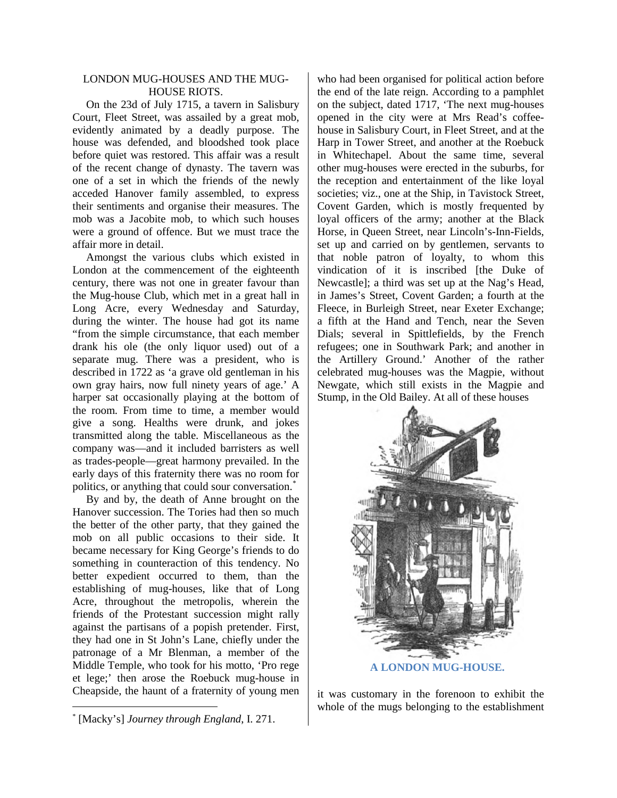## LONDON MUG-HOUSES AND THE MUG-HOUSE RIOTS.

On the 23d of July 1715, a tavern in Salisbury Court, Fleet Street, was assailed by a great mob, evidently animated by a deadly purpose. The house was defended, and bloodshed took place before quiet was restored. This affair was a result of the recent change of dynasty. The tavern was one of a set in which the friends of the newly acceded Hanover family assembled, to express their sentiments and organise their measures. The mob was a Jacobite mob, to which such houses were a ground of offence. But we must trace the affair more in detail.

Amongst the various clubs which existed in London at the commencement of the eighteenth century, there was not one in greater favour than the Mug-house Club, which met in a great hall in Long Acre, every Wednesday and Saturday, during the winter. The house had got its name "from the simple circumstance, that each member drank his ole (the only liquor used) out of a separate mug. There was a president, who is described in 1722 as 'a grave old gentleman in his own gray hairs, now full ninety years of age.' A harper sat occasionally playing at the bottom of the room. From time to time, a member would give a song. Healths were drunk, and jokes transmitted along the table. Miscellaneous as the company was—and it included barristers as well as trades-people—great harmony prevailed. In the early days of this fraternity there was no room for politics, or anything that could sour conversation.<sup>[\\*](#page-0-0)</sup>

By and by, the death of Anne brought on the Hanover succession. The Tories had then so much the better of the other party, that they gained the mob on all public occasions to their side. It became necessary for King George's friends to do something in counteraction of this tendency. No better expedient occurred to them, than the establishing of mug-houses, like that of Long Acre, throughout the metropolis, wherein the friends of the Protestant succession might rally against the partisans of a popish pretender. First, they had one in St John's Lane, chiefly under the patronage of a Mr Blenman, a member of the Middle Temple, who took for his motto, 'Pro rege et lege;' then arose the Roebuck mug-house in Cheapside, the haunt of a fraternity of young men

who had been organised for political action before the end of the late reign. According to a pamphlet on the subject, dated 1717, 'The next mug-houses opened in the city were at Mrs Read's coffeehouse in Salisbury Court, in Fleet Street, and at the Harp in Tower Street, and another at the Roebuck in Whitechapel. About the same time, several other mug-houses were erected in the suburbs, for the reception and entertainment of the like loyal societies; viz., one at the Ship, in Tavistock Street, Covent Garden, which is mostly frequented by loyal officers of the army; another at the Black Horse, in Queen Street, near Lincoln's-Inn-Fields, set up and carried on by gentlemen, servants to that noble patron of loyalty, to whom this vindication of it is inscribed [the Duke of Newcastle]; a third was set up at the Nag's Head, in James's Street, Covent Garden; a fourth at the Fleece, in Burleigh Street, near Exeter Exchange; a fifth at the Hand and Tench, near the Seven Dials; several in Spittlefields, by the French refugees; one in Southwark Park; and another in the Artillery Ground.' Another of the rather celebrated mug-houses was the Magpie, without Newgate, which still exists in the Magpie and Stump, in the Old Bailey. At all of these houses



it was customary in the forenoon to exhibit the whole of the mugs belonging to the establishment

<span id="page-0-0"></span> <sup>\*</sup> [Macky's] *Journey through England*, I. 271.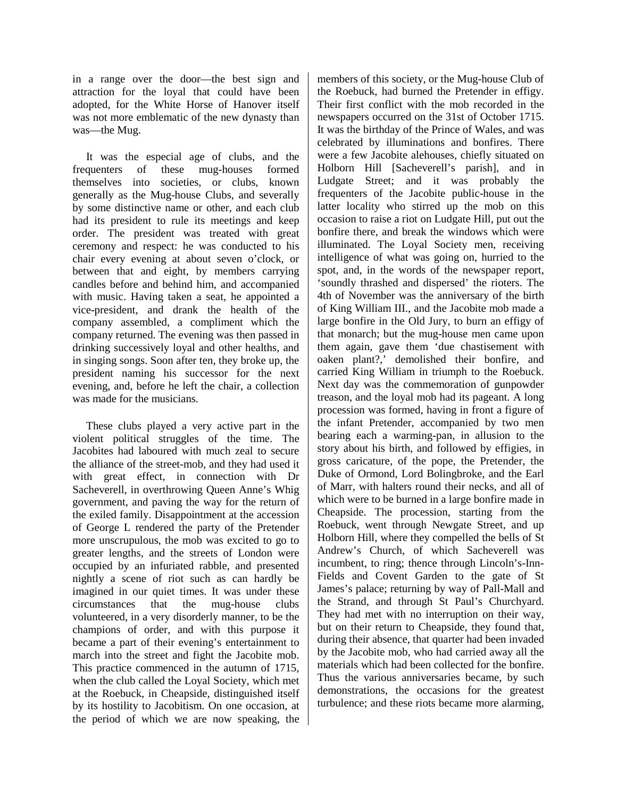in a range over the door—the best sign and attraction for the loyal that could have been adopted, for the White Horse of Hanover itself was not more emblematic of the new dynasty than was—the Mug.

It was the especial age of clubs, and the frequenters of these mug-houses formed themselves into societies, or clubs, known generally as the Mug-house Clubs, and severally by some distinctive name or other, and each club had its president to rule its meetings and keep order. The president was treated with great ceremony and respect: he was conducted to his chair every evening at about seven o'clock, or between that and eight, by members carrying candles before and behind him, and accompanied with music. Having taken a seat, he appointed a vice-president, and drank the health of the company assembled, a compliment which the company returned. The evening was then passed in drinking successively loyal and other healths, and in singing songs. Soon after ten, they broke up, the president naming his successor for the next evening, and, before he left the chair, a collection was made for the musicians.

These clubs played a very active part in the violent political struggles of the time. The Jacobites had laboured with much zeal to secure the alliance of the street-mob, and they had used it with great effect, in connection with Dr Sacheverell, in overthrowing Queen Anne's Whig government, and paving the way for the return of the exiled family. Disappointment at the accession of George L rendered the party of the Pretender more unscrupulous, the mob was excited to go to greater lengths, and the streets of London were occupied by an infuriated rabble, and presented nightly a scene of riot such as can hardly be imagined in our quiet times. It was under these circumstances that the mug-house clubs volunteered, in a very disorderly manner, to be the champions of order, and with this purpose it became a part of their evening's entertainment to march into the street and fight the Jacobite mob. This practice commenced in the autumn of 1715, when the club called the Loyal Society, which met at the Roebuck, in Cheapside, distinguished itself by its hostility to Jacobitism. On one occasion, at the period of which we are now speaking, the members of this society, or the Mug-house Club of the Roebuck, had burned the Pretender in effigy. Their first conflict with the mob recorded in the newspapers occurred on the 31st of October 1715. It was the birthday of the Prince of Wales, and was celebrated by illuminations and bonfires. There were a few Jacobite alehouses, chiefly situated on Holborn Hill [Sacheverell's parish], and in Ludgate Street; and it was probably the frequenters of the Jacobite public-house in the latter locality who stirred up the mob on this occasion to raise a riot on Ludgate Hill, put out the bonfire there, and break the windows which were illuminated. The Loyal Society men, receiving intelligence of what was going on, hurried to the spot, and, in the words of the newspaper report, 'soundly thrashed and dispersed' the rioters. The 4th of November was the anniversary of the birth of King William III., and the Jacobite mob made a large bonfire in the Old Jury, to burn an effigy of that monarch; but the mug-house men came upon them again, gave them 'due chastisement with oaken plant?,' demolished their bonfire, and carried King William in triumph to the Roebuck. Next day was the commemoration of gunpowder treason, and the loyal mob had its pageant. A long procession was formed, having in front a figure of the infant Pretender, accompanied by two men bearing each a warming-pan, in allusion to the story about his birth, and followed by effigies, in gross caricature, of the pope, the Pretender, the Duke of Ormond, Lord Bolingbroke, and the Earl of Marr, with halters round their necks, and all of which were to be burned in a large bonfire made in Cheapside. The procession, starting from the Roebuck, went through Newgate Street, and up Holborn Hill, where they compelled the bells of St Andrew's Church, of which Sacheverell was incumbent, to ring; thence through Lincoln's-Inn-Fields and Covent Garden to the gate of St James's palace; returning by way of Pall-Mall and the Strand, and through St Paul's Churchyard. They had met with no interruption on their way, but on their return to Cheapside, they found that, during their absence, that quarter had been invaded by the Jacobite mob, who had carried away all the materials which had been collected for the bonfire. Thus the various anniversaries became, by such demonstrations, the occasions for the greatest turbulence; and these riots became more alarming,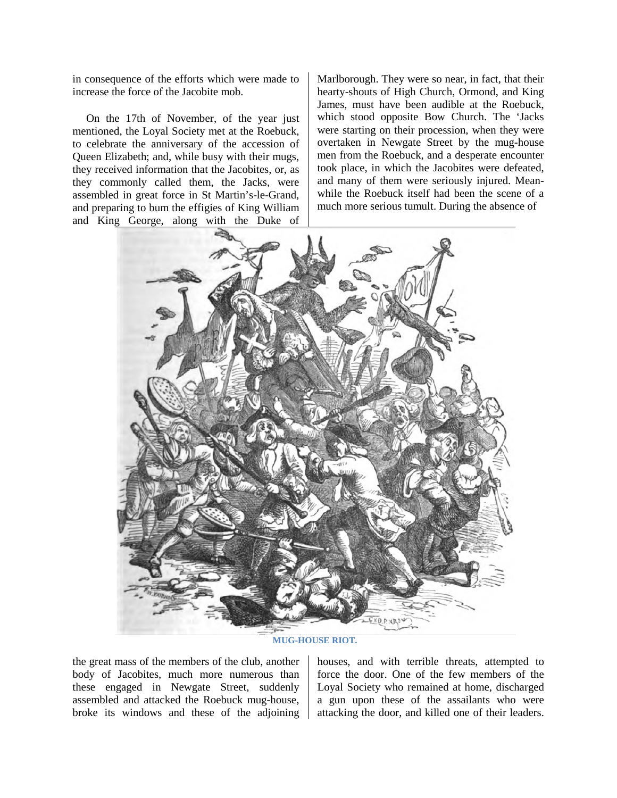in consequence of the efforts which were made to increase the force of the Jacobite mob.

On the 17th of November, of the year just mentioned, the Loyal Society met at the Roebuck, to celebrate the anniversary of the accession of Queen Elizabeth; and, while busy with their mugs, they received information that the Jacobites, or, as they commonly called them, the Jacks, were assembled in great force in St Martin's-le-Grand, and preparing to bum the effigies of King William and King George, along with the Duke of Marlborough. They were so near, in fact, that their hearty-shouts of High Church, Ormond, and King James, must have been audible at the Roebuck, which stood opposite Bow Church. The 'Jacks were starting on their procession, when they were overtaken in Newgate Street by the mug-house men from the Roebuck, and a desperate encounter took place, in which the Jacobites were defeated, and many of them were seriously injured. Meanwhile the Roebuck itself had been the scene of a much more serious tumult. During the absence of



**MUG-HOUSE RIOT.**

the great mass of the members of the club, another body of Jacobites, much more numerous than these engaged in Newgate Street, suddenly assembled and attacked the Roebuck mug-house, broke its windows and these of the adjoining houses, and with terrible threats, attempted to force the door. One of the few members of the Loyal Society who remained at home, discharged a gun upon these of the assailants who were attacking the door, and killed one of their leaders.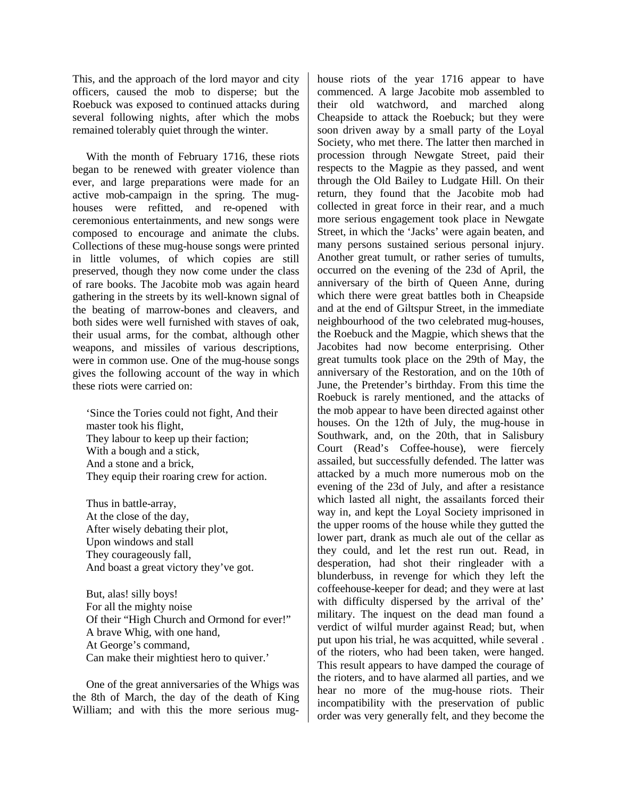This, and the approach of the lord mayor and city officers, caused the mob to disperse; but the Roebuck was exposed to continued attacks during several following nights, after which the mobs remained tolerably quiet through the winter.

With the month of February 1716, these riots began to be renewed with greater violence than ever, and large preparations were made for an active mob-campaign in the spring. The mughouses were refitted, and re-opened with ceremonious entertainments, and new songs were composed to encourage and animate the clubs. Collections of these mug-house songs were printed in little volumes, of which copies are still preserved, though they now come under the class of rare books. The Jacobite mob was again heard gathering in the streets by its well-known signal of the beating of marrow-bones and cleavers, and both sides were well furnished with staves of oak, their usual arms, for the combat, although other weapons, and missiles of various descriptions, were in common use. One of the mug-house songs gives the following account of the way in which these riots were carried on:

'Since the Tories could not fight, And their master took his flight, They labour to keep up their faction; With a bough and a stick, And a stone and a brick, They equip their roaring crew for action.

Thus in battle-array, At the close of the day, After wisely debating their plot, Upon windows and stall They courageously fall, And boast a great victory they've got.

But, alas! silly boys! For all the mighty noise Of their "High Church and Ormond for ever!" A brave Whig, with one hand, At George's command, Can make their mightiest hero to quiver.'

One of the great anniversaries of the Whigs was the 8th of March, the day of the death of King William; and with this the more serious mughouse riots of the year 1716 appear to have commenced. A large Jacobite mob assembled to their old watchword, and marched along Cheapside to attack the Roebuck; but they were soon driven away by a small party of the Loyal Society, who met there. The latter then marched in procession through Newgate Street, paid their respects to the Magpie as they passed, and went through the Old Bailey to Ludgate Hill. On their return, they found that the Jacobite mob had collected in great force in their rear, and a much more serious engagement took place in Newgate Street, in which the 'Jacks' were again beaten, and many persons sustained serious personal injury. Another great tumult, or rather series of tumults, occurred on the evening of the 23d of April, the anniversary of the birth of Queen Anne, during which there were great battles both in Cheapside and at the end of Giltspur Street, in the immediate neighbourhood of the two celebrated mug-houses, the Roebuck and the Magpie, which shews that the Jacobites had now become enterprising. Other great tumults took place on the 29th of May, the anniversary of the Restoration, and on the 10th of June, the Pretender's birthday. From this time the Roebuck is rarely mentioned, and the attacks of the mob appear to have been directed against other houses. On the 12th of July, the mug-house in Southwark, and, on the 20th, that in Salisbury Court (Read's Coffee-house), were fiercely assailed, but successfully defended. The latter was attacked by a much more numerous mob on the evening of the 23d of July, and after a resistance which lasted all night, the assailants forced their way in, and kept the Loyal Society imprisoned in the upper rooms of the house while they gutted the lower part, drank as much ale out of the cellar as they could, and let the rest run out. Read, in desperation, had shot their ringleader with a blunderbuss, in revenge for which they left the coffeehouse-keeper for dead; and they were at last with difficulty dispersed by the arrival of the' military. The inquest on the dead man found a verdict of wilful murder against Read; but, when put upon his trial, he was acquitted, while several . of the rioters, who had been taken, were hanged. This result appears to have damped the courage of the rioters, and to have alarmed all parties, and we hear no more of the mug-house riots. Their incompatibility with the preservation of public order was very generally felt, and they become the